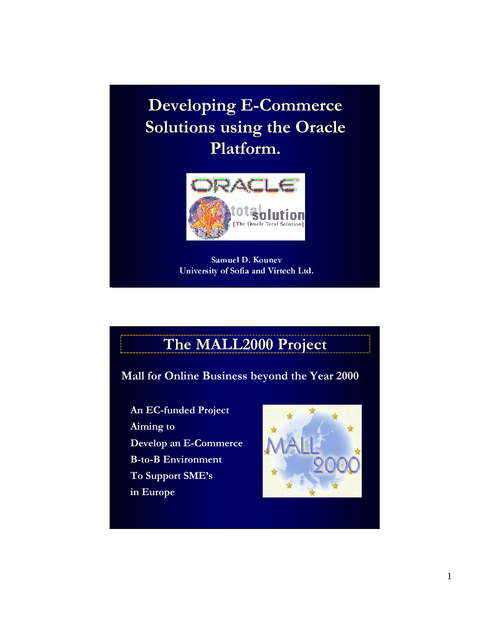Developing E-Commerce Solutions using the Oracle Platform.



Samuel D. Kounev University of Sofia and Virtech Ltd.

## The MALL2000 Project

Mall for Online Business beyond the Year 2000

An EC-funded Project Aiming to Develop an E-Commerce B-to-B Environment To Support SME's in Europe

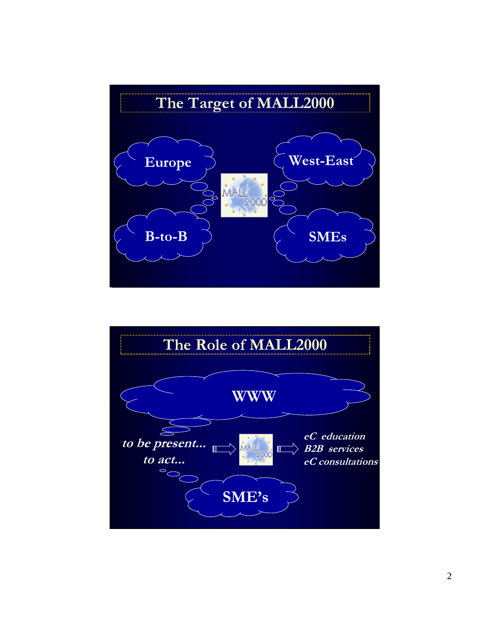

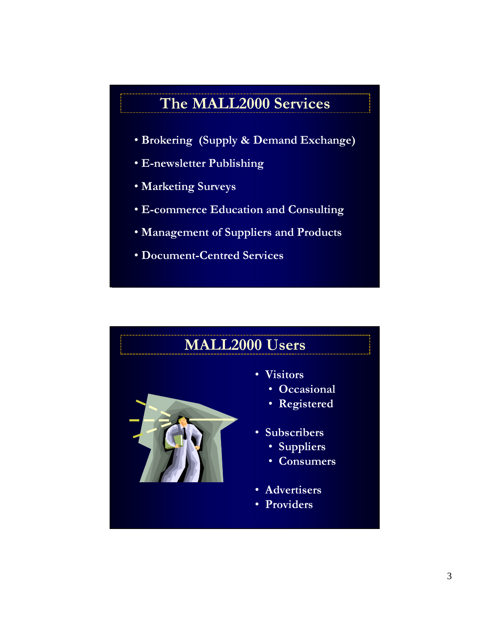## The MALL2000 Services

- Brokering (Supply & Demand Exchange)
- E-newsletter Publishing
- Marketing Surveys
- E-commerce Education and Consulting
- Management of Suppliers and Products
- Document-Centred Services

# MALL2000 Users • Visitors • Occasional • Registered • Subscribers • Suppliers • Consumers • Advertisers • Providers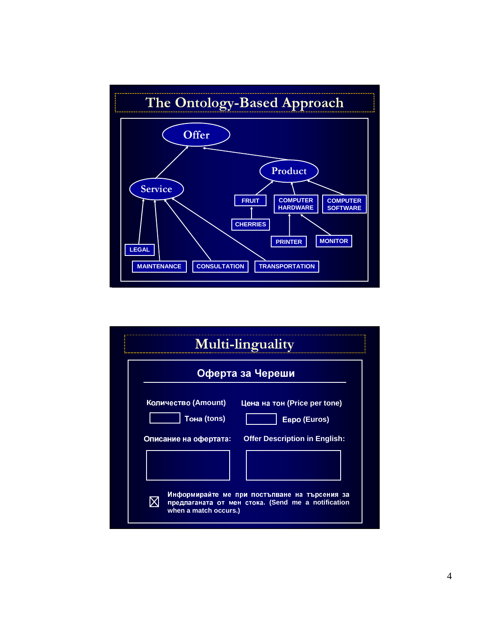

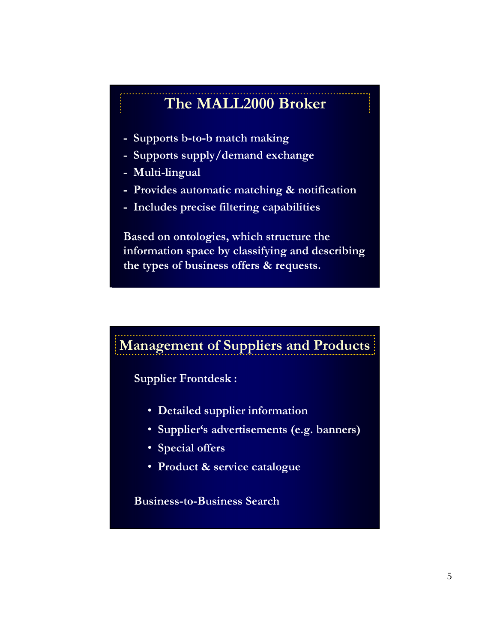#### The MALL2000 Broker

- Supports b-to-b match making
- Supports supply/demand exchange
- Multi-lingual
- Provides automatic matching & notification
- Includes precise filtering capabilities

Based on ontologies, which structure the information space by classifying and describing the types of business offers & requests.

#### Management of Suppliers and Products

Supplier Frontdesk :

- Detailed supplier information
- Supplier's advertisements (e.g. banners)
- Special offers
- Product & service catalogue

Business-to-Business Search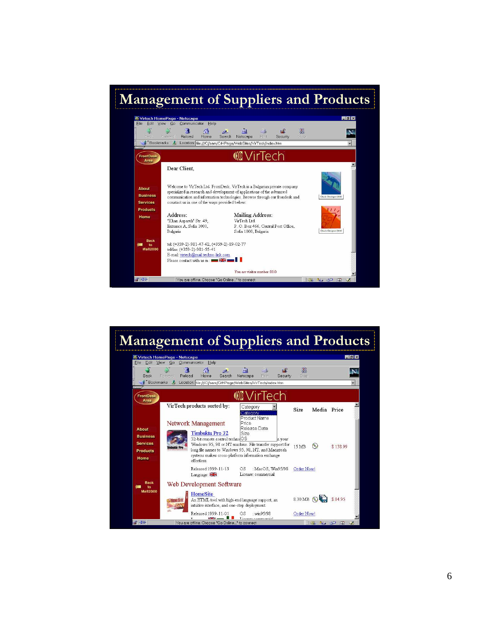

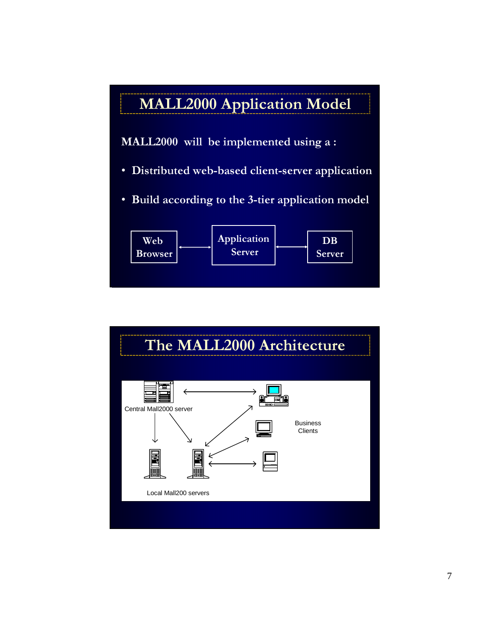

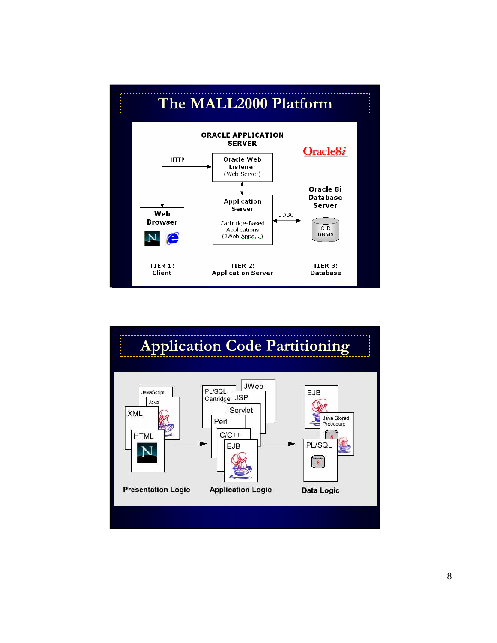

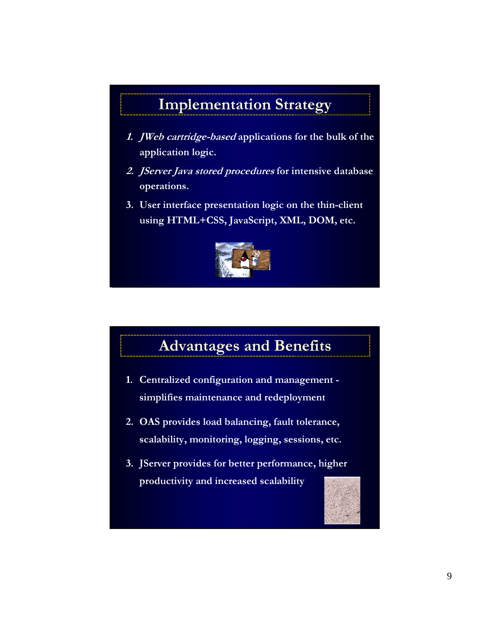## Implementation Strategy

- 1. JWeb cartridge-based applications for the bulk of the application logic.
- 2. JServer Java stored procedures for intensive database operations.
- 3. User interface presentation logic on the thin-client using HTML+CSS, JavaScript, XML, DOM, etc.



## Advantages and Benefits

- 1. Centralized configuration and management simplifies maintenance and redeployment
- 2. OAS provides load balancing, fault tolerance, scalability, monitoring, logging, sessions, etc.
- 3. JServer provides for better performance, higher productivity and increased scalability

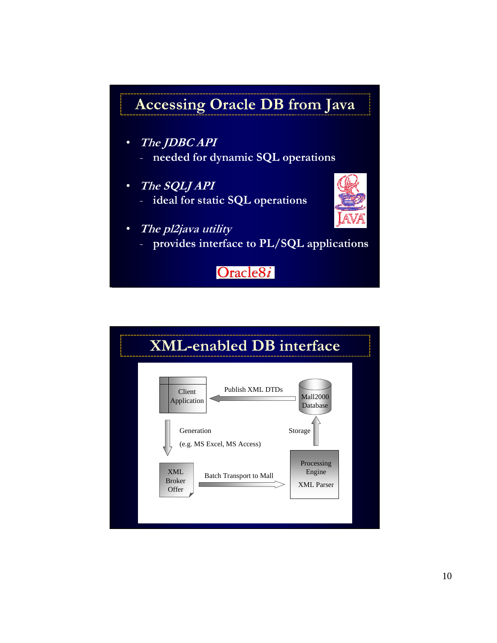## Accessing Oracle DB from Java

- The JDBC API
	- needed for dynamic SQL operations
- The SQLJ API - ideal for static SQL operations
	-



- The pl2java utility
	- provides interface to PL/SQL applications

Oracle8i

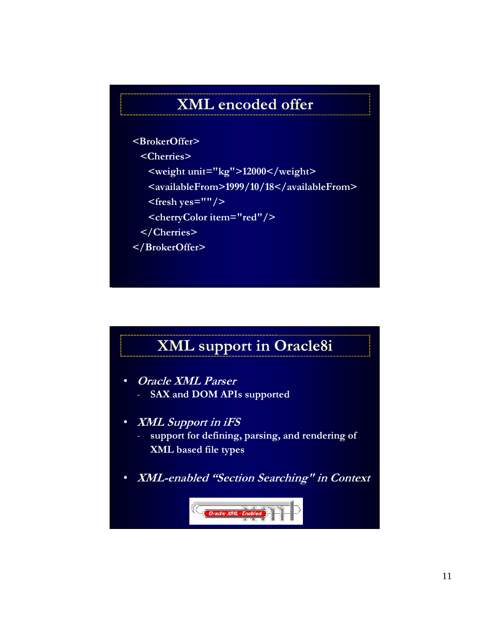## XML encoded offer

#### <BrokerOffer>

<Cherries>

- <weight unit="kg">12000</weight>
- <availableFrom>1999/10/18</availableFrom>
- <fresh yes=""/>
- <cherryColor item="red"/>
- </Cherries>

</BrokerOffer>

## XML support in Oracle8i

- Oracle XML Parser - SAX and DOM APIs supported
- XML Support in iFS
	- support for defining, parsing, and rendering of XML based file types
- XML-enabled "Section Searching" in Context